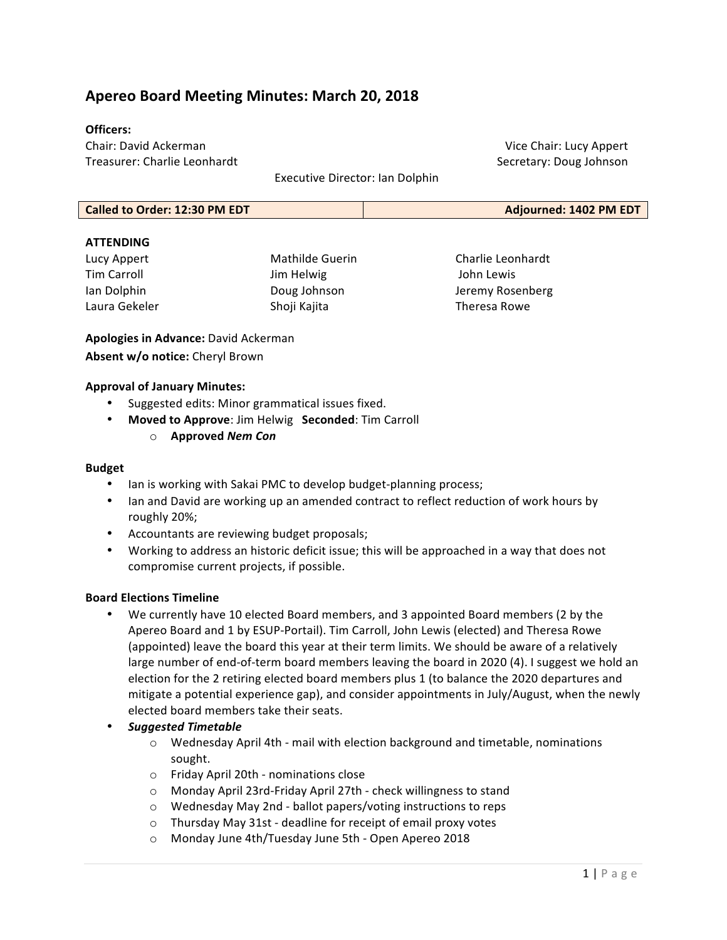# **Apereo Board Meeting Minutes: March 20, 2018**

#### **Officers:**

Chair: David Ackerman Treasurer: Charlie Leonhardt 

Executive Director: Ian Dolphin

**Called to Order: 12:30 PM EDT Adjourned: 1402 PM EDT** 

#### **ATTENDING**

| Lucy Appert   | Mathilde Guerin |
|---------------|-----------------|
| Tim Carroll   | Jim Helwig      |
| Ian Dolphin   | Doug Johnson    |
| Laura Gekeler | Shoji Kajita    |

Charlie Leonhardt John Lewis Jeremy Rosenberg Theresa Rowe

Vice Chair: Lucy Appert Secretary: Doug Johnson

**Apologies in Advance:** David Ackerman Absent w/o notice: Cheryl Brown

#### **Approval of January Minutes:**

- Suggested edits: Minor grammatical issues fixed.
- **Moved to Approve**: Jim Helwig **Seconded**: Tim Carroll
	- o **Approved** *Nem Con*

#### **Budget**

- lan is working with Sakai PMC to develop budget-planning process;
- Ian and David are working up an amended contract to reflect reduction of work hours by roughly 20%;
- Accountants are reviewing budget proposals;
- Working to address an historic deficit issue; this will be approached in a way that does not compromise current projects, if possible.

#### **Board Elections Timeline**

- We currently have 10 elected Board members, and 3 appointed Board members (2 by the Apereo Board and 1 by ESUP-Portail). Tim Carroll, John Lewis (elected) and Theresa Rowe (appointed) leave the board this year at their term limits. We should be aware of a relatively large number of end-of-term board members leaving the board in 2020 (4). I suggest we hold an election for the 2 retiring elected board members plus 1 (to balance the 2020 departures and mitigate a potential experience gap), and consider appointments in July/August, when the newly elected board members take their seats.
- *Suggested Timetable*
	- $\circ$  Wednesday April 4th mail with election background and timetable, nominations sought.
	- o Friday April 20th - nominations close
	- $\circ$  Monday April 23rd-Friday April 27th check willingness to stand
	- $\circ$  Wednesday May 2nd ballot papers/voting instructions to reps
	- $\circ$  Thursday May 31st deadline for receipt of email proxy votes
	- o Monday June 4th/Tuesday June 5th Open Apereo 2018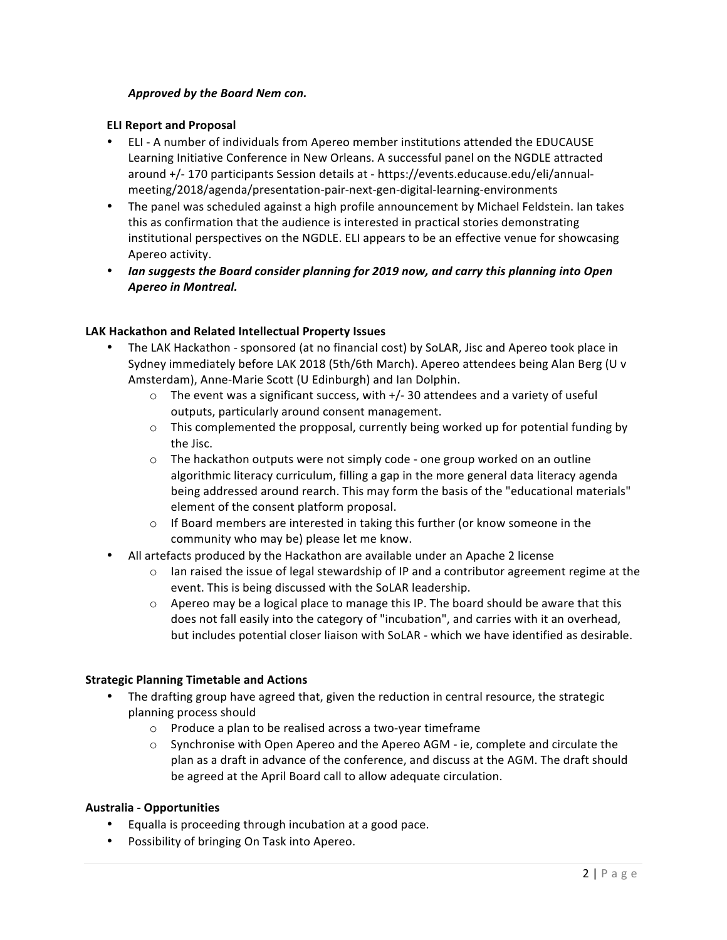### *Approved by the Board Nem con.*

#### **ELI Report and Proposal**

- ELI A number of individuals from Apereo member institutions attended the EDUCAUSE Learning Initiative Conference in New Orleans. A successful panel on the NGDLE attracted around +/- 170 participants Session details at - https://events.educause.edu/eli/annualmeeting/2018/agenda/presentation-pair-next-gen-digital-learning-environments
- The panel was scheduled against a high profile announcement by Michael Feldstein. Ian takes this as confirmation that the audience is interested in practical stories demonstrating institutional perspectives on the NGDLE. ELI appears to be an effective venue for showcasing Apereo activity.
- Ian suggests the Board consider planning for 2019 now, and carry this planning into Open *Apereo in Montreal.*

#### LAK Hackathon and Related Intellectual Property Issues

- The LAK Hackathon sponsored (at no financial cost) by SoLAR, Jisc and Apereo took place in Sydney immediately before LAK 2018 (5th/6th March). Apereo attendees being Alan Berg (U v Amsterdam), Anne-Marie Scott (U Edinburgh) and Ian Dolphin.
	- $\circ$  The event was a significant success, with +/- 30 attendees and a variety of useful outputs, particularly around consent management.
	- $\circ$  This complemented the propposal, currently being worked up for potential funding by the Jisc.
	- $\circ$  The hackathon outputs were not simply code one group worked on an outline algorithmic literacy curriculum, filling a gap in the more general data literacy agenda being addressed around rearch. This may form the basis of the "educational materials" element of the consent platform proposal.
	- $\circ$  If Board members are interested in taking this further (or know someone in the community who may be) please let me know.
- All artefacts produced by the Hackathon are available under an Apache 2 license
	- $\circ$  Ian raised the issue of legal stewardship of IP and a contributor agreement regime at the event. This is being discussed with the SoLAR leadership.
	- $\circ$  Apereo may be a logical place to manage this IP. The board should be aware that this does not fall easily into the category of "incubation", and carries with it an overhead, but includes potential closer liaison with SoLAR - which we have identified as desirable.

### **Strategic Planning Timetable and Actions**

- The drafting group have agreed that, given the reduction in central resource, the strategic planning process should
	- $\circ$  Produce a plan to be realised across a two-year timeframe
	- $\circ$  Synchronise with Open Apereo and the Apereo AGM ie, complete and circulate the plan as a draft in advance of the conference, and discuss at the AGM. The draft should be agreed at the April Board call to allow adequate circulation.

#### **Australia - Opportunities**

- Equalla is proceeding through incubation at a good pace.
- Possibility of bringing On Task into Apereo.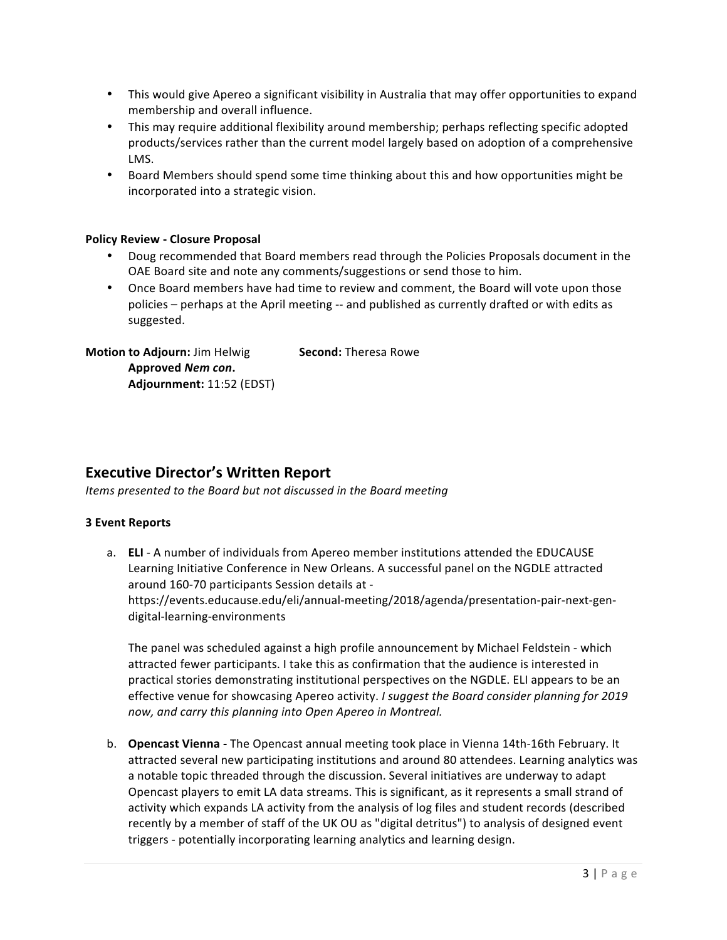- This would give Apereo a significant visibility in Australia that may offer opportunities to expand membership and overall influence.
- This may require additional flexibility around membership; perhaps reflecting specific adopted products/services rather than the current model largely based on adoption of a comprehensive LMS.
- Board Members should spend some time thinking about this and how opportunities might be incorporated into a strategic vision.

### **Policy Review - Closure Proposal**

- Doug recommended that Board members read through the Policies Proposals document in the OAE Board site and note any comments/suggestions or send those to him.
- Once Board members have had time to review and comment, the Board will vote upon those policies - perhaps at the April meeting -- and published as currently drafted or with edits as suggested.

**Motion to Adjourn:** Jim Helwig **Second:** Theresa Rowe **Approved** *Nem con***. Adjournment:** 11:52 (EDST)

## **Executive Director's Written Report**

*Items presented to the Board but not discussed in the Board meeting* 

### **3 Event Reports**

a. **ELI** - A number of individuals from Apereo member institutions attended the EDUCAUSE Learning Initiative Conference in New Orleans. A successful panel on the NGDLE attracted around 160-70 participants Session details at https://events.educause.edu/eli/annual-meeting/2018/agenda/presentation-pair-next-gendigital-learning-environments

The panel was scheduled against a high profile announcement by Michael Feldstein - which attracted fewer participants. I take this as confirmation that the audience is interested in practical stories demonstrating institutional perspectives on the NGDLE. ELI appears to be an effective venue for showcasing Apereo activity. *I* suggest the Board consider planning for 2019 now, and carry this planning into Open Apereo in Montreal.

b. **Opencast Vienna** - The Opencast annual meeting took place in Vienna 14th-16th February. It attracted several new participating institutions and around 80 attendees. Learning analytics was a notable topic threaded through the discussion. Several initiatives are underway to adapt Opencast players to emit LA data streams. This is significant, as it represents a small strand of activity which expands LA activity from the analysis of log files and student records (described recently by a member of staff of the UK OU as "digital detritus") to analysis of designed event triggers - potentially incorporating learning analytics and learning design.